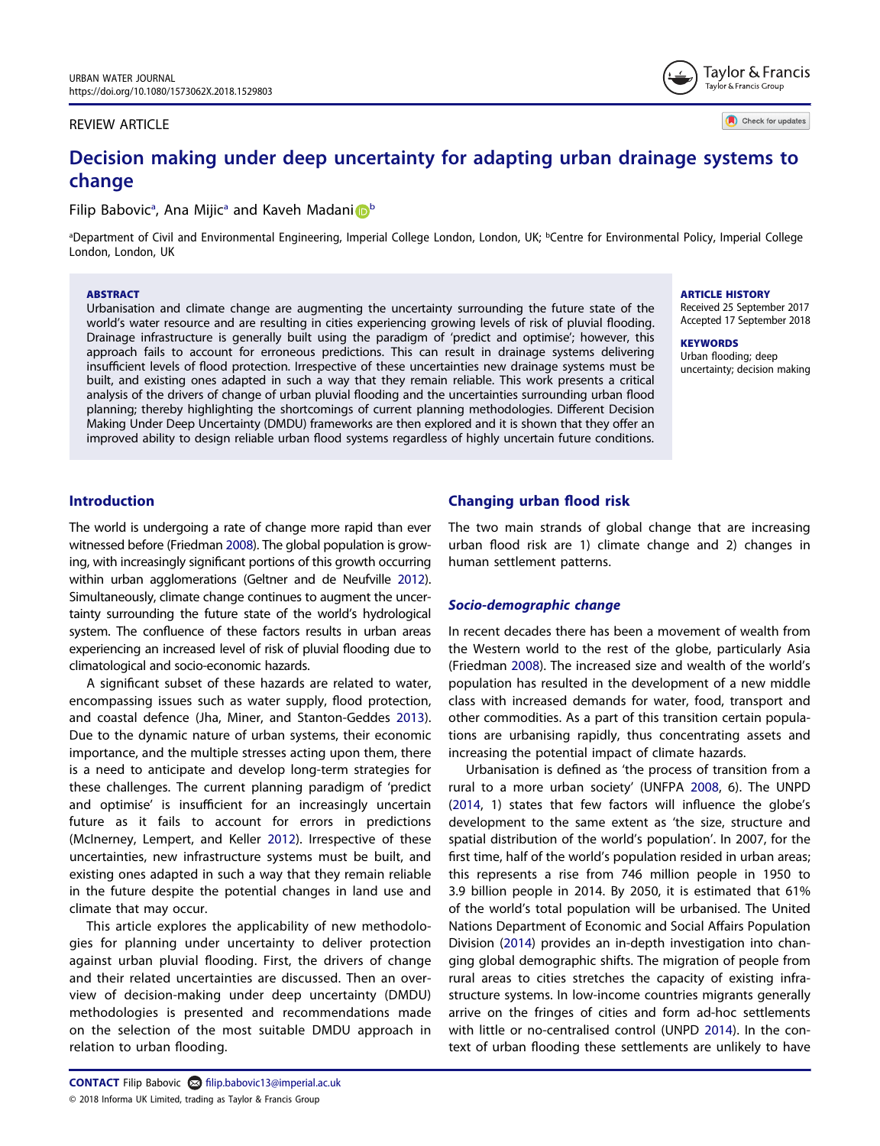## REVIEW ARTICLE

Check for updates

Taylor & Francis Taylor & Francis Group

# Decision making under deep uncertainty for adapting urban drainage systems to change

# Filip B[a](#page-0-0)bov[i](http://orcid.org/0000-0003-0378-3170)c<sup>a</sup>, Ana Mijic<sup>a</sup> and Kaveh Madani D<sup>[b](#page-0-0)</sup>

<span id="page-0-0"></span>ªDepartment of Civil and Environmental Engineering, Imperial College London, London, UK; <sup>b</sup>Centre for Environmental Policy, Imperial College London, London, UK

#### ABSTRACT

Urbanisation and climate change are augmenting the uncertainty surrounding the future state of the world's water resource and are resulting in cities experiencing growing levels of risk of pluvial flooding. Drainage infrastructure is generally built using the paradigm of 'predict and optimise'; however, this approach fails to account for erroneous predictions. This can result in drainage systems delivering insufficient levels of flood protection. Irrespective of these uncertainties new drainage systems must be built, and existing ones adapted in such a way that they remain reliable. This work presents a critical analysis of the drivers of change of urban pluvial flooding and the uncertainties surrounding urban flood planning; thereby highlighting the shortcomings of current planning methodologies. Different Decision Making Under Deep Uncertainty (DMDU) frameworks are then explored and it is shown that they offer an improved ability to design reliable urban flood systems regardless of highly uncertain future conditions.

#### ARTICLE HISTORY

Received 25 September 2017 Accepted 17 September 2018

**KEYWORDS** Urban flooding; deep uncertainty; decision making

#### Introduction

<span id="page-0-2"></span>The world is undergoing a rate of change more rapid than ever witnessed before (Friedman [2008](#page-6-0)). The global population is growing, with increasingly significant portions of this growth occurring within urban agglomerations (Geltner and de Neufville [2012](#page-6-1)). Simultaneously, climate change continues to augment the uncertainty surrounding the future state of the world's hydrological system. The confluence of these factors results in urban areas experiencing an increased level of risk of pluvial flooding due to climatological and socio-economic hazards.

<span id="page-0-3"></span>A significant subset of these hazards are related to water, encompassing issues such as water supply, flood protection, and coastal defence (Jha, Miner, and Stanton-Geddes [2013](#page-7-0)). Due to the dynamic nature of urban systems, their economic importance, and the multiple stresses acting upon them, there is a need to anticipate and develop long-term strategies for these challenges. The current planning paradigm of 'predict and optimise' is insufficient for an increasingly uncertain future as it fails to account for errors in predictions (McInerney, Lempert, and Keller [2012\)](#page-7-1). Irrespective of these uncertainties, new infrastructure systems must be built, and existing ones adapted in such a way that they remain reliable in the future despite the potential changes in land use and climate that may occur.

<span id="page-0-4"></span>This article explores the applicability of new methodologies for planning under uncertainty to deliver protection against urban pluvial flooding. First, the drivers of change and their related uncertainties are discussed. Then an overview of decision-making under deep uncertainty (DMDU) methodologies is presented and recommendations made on the selection of the most suitable DMDU approach in relation to urban flooding.

## Changing urban flood risk

The two main strands of global change that are increasing urban flood risk are 1) climate change and 2) changes in human settlement patterns.

#### Socio-demographic change

<span id="page-0-1"></span>In recent decades there has been a movement of wealth from the Western world to the rest of the globe, particularly Asia (Friedman [2008\)](#page-6-0). The increased size and wealth of the world's population has resulted in the development of a new middle class with increased demands for water, food, transport and other commodities. As a part of this transition certain populations are urbanising rapidly, thus concentrating assets and increasing the potential impact of climate hazards.

<span id="page-0-7"></span><span id="page-0-6"></span><span id="page-0-5"></span>Urbanisation is defined as 'the process of transition from a rural to a more urban society' (UNFPA [2008,](#page-7-2) 6). The UNPD [\(2014,](#page-7-3) 1) states that few factors will influence the globe's development to the same extent as 'the size, structure and spatial distribution of the world's population'. In 2007, for the first time, half of the world's population resided in urban areas; this represents a rise from 746 million people in 1950 to 3.9 billion people in 2014. By 2050, it is estimated that 61% of the world's total population will be urbanised. The United Nations Department of Economic and Social Affairs Population Division ([2014](#page-7-4)) provides an in-depth investigation into changing global demographic shifts. The migration of people from rural areas to cities stretches the capacity of existing infrastructure systems. In low-income countries migrants generally arrive on the fringes of cities and form ad-hoc settlements with little or no-centralised control (UNPD [2014\)](#page-7-3). In the context of urban flooding these settlements are unlikely to have

CONTACT Filip Babovic <sup>2</sup>n filip.babovic13@imperial.ac.uk © 2018 Informa UK Limited, trading as Taylor & Francis Group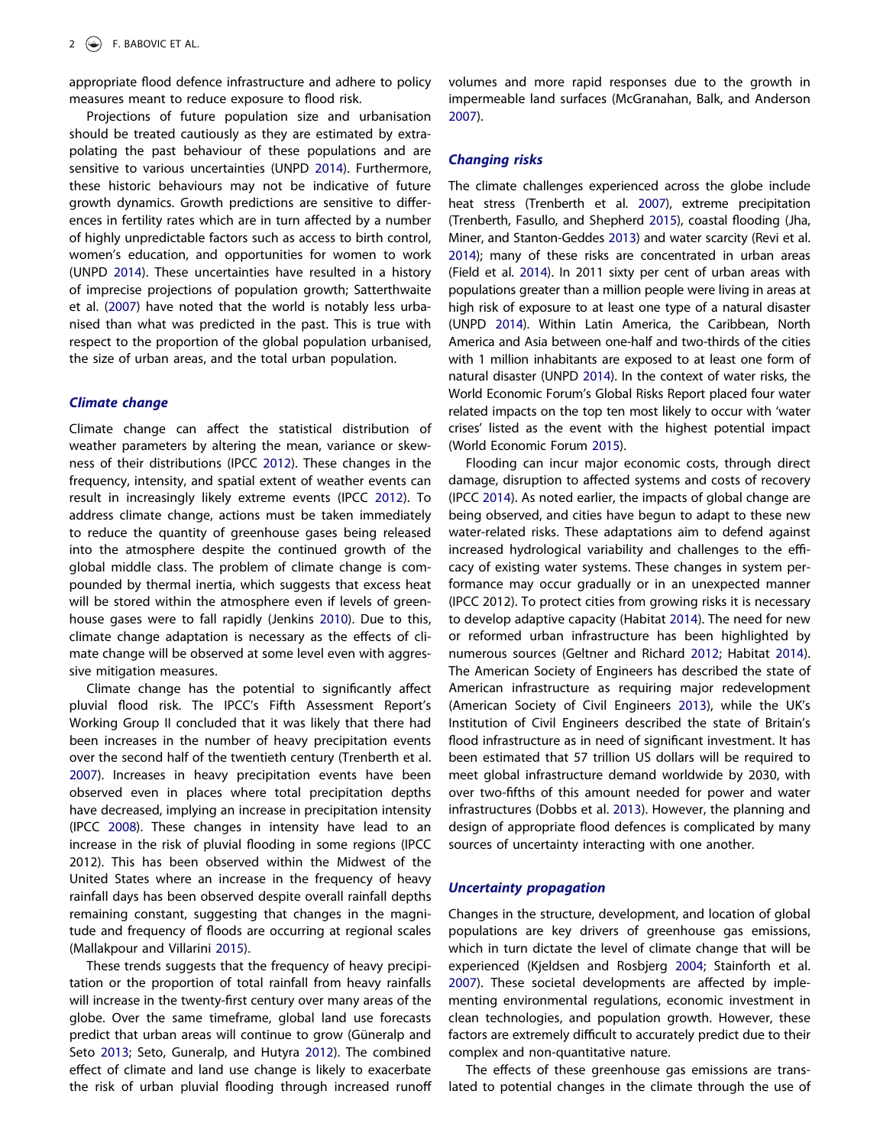appropriate flood defence infrastructure and adhere to policy measures meant to reduce exposure to flood risk.

Projections of future population size and urbanisation should be treated cautiously as they are estimated by extrapolating the past behaviour of these populations and are sensitive to various uncertainties (UNPD [2014\)](#page-7-3). Furthermore, these historic behaviours may not be indicative of future growth dynamics. Growth predictions are sensitive to differences in fertility rates which are in turn affected by a number of highly unpredictable factors such as access to birth control, women's education, and opportunities for women to work (UNPD [2014](#page-7-3)). These uncertainties have resulted in a history of imprecise projections of population growth; Satterthwaite et al. ([2007\)](#page-7-5) have noted that the world is notably less urbanised than what was predicted in the past. This is true with respect to the proportion of the global population urbanised, the size of urban areas, and the total urban population.

#### <span id="page-1-13"></span>Climate change

<span id="page-1-6"></span>Climate change can affect the statistical distribution of weather parameters by altering the mean, variance or skewness of their distributions (IPCC [2012\)](#page-6-2). These changes in the frequency, intensity, and spatial extent of weather events can result in increasingly likely extreme events (IPCC [2012](#page-6-2)). To address climate change, actions must be taken immediately to reduce the quantity of greenhouse gases being released into the atmosphere despite the continued growth of the global middle class. The problem of climate change is compounded by thermal inertia, which suggests that excess heat will be stored within the atmosphere even if levels of greenhouse gases were to fall rapidly (Jenkins [2010](#page-6-3)). Due to this, climate change adaptation is necessary as the effects of climate change will be observed at some level even with aggressive mitigation measures.

<span id="page-1-8"></span><span id="page-1-5"></span>Climate change has the potential to significantly affect pluvial flood risk. The IPCC's Fifth Assessment Report's Working Group II concluded that it was likely that there had been increases in the number of heavy precipitation events over the second half of the twentieth century (Trenberth et al. [2007\)](#page-7-6). Increases in heavy precipitation events have been observed even in places where total precipitation depths have decreased, implying an increase in precipitation intensity (IPCC [2008](#page-6-4)). These changes in intensity have lead to an increase in the risk of pluvial flooding in some regions (IPCC 2012). This has been observed within the Midwest of the United States where an increase in the frequency of heavy rainfall days has been observed despite overall rainfall depths remaining constant, suggesting that changes in the magnitude and frequency of floods are occurring at regional scales (Mallakpour and Villarini [2015\)](#page-7-7).

<span id="page-1-10"></span><span id="page-1-3"></span>These trends suggests that the frequency of heavy precipitation or the proportion of total rainfall from heavy rainfalls will increase in the twenty-first century over many areas of the globe. Over the same timeframe, global land use forecasts predict that urban areas will continue to grow (Güneralp and Seto [2013](#page-6-5); Seto, Guneralp, and Hutyra [2012\)](#page-7-8). The combined effect of climate and land use change is likely to exacerbate the risk of urban pluvial flooding through increased runoff <span id="page-1-11"></span>volumes and more rapid responses due to the growth in impermeable land surfaces (McGranahan, Balk, and Anderson [2007](#page-7-9)).

## Changing risks

<span id="page-1-15"></span><span id="page-1-14"></span><span id="page-1-12"></span><span id="page-1-2"></span>The climate challenges experienced across the globe include heat stress (Trenberth et al. [2007](#page-7-6)), extreme precipitation (Trenberth, Fasullo, and Shepherd [2015\)](#page-7-10), coastal flooding (Jha, Miner, and Stanton-Geddes [2013\)](#page-7-0) and water scarcity (Revi et al. [2014\)](#page-7-11); many of these risks are concentrated in urban areas (Field et al. [2014](#page-6-6)). In 2011 sixty per cent of urban areas with populations greater than a million people were living in areas at high risk of exposure to at least one type of a natural disaster (UNPD [2014](#page-7-3)). Within Latin America, the Caribbean, North America and Asia between one-half and two-thirds of the cities with 1 million inhabitants are exposed to at least one form of natural disaster (UNPD [2014\)](#page-7-3). In the context of water risks, the World Economic Forum's Global Risks Report placed four water related impacts on the top ten most likely to occur with 'water crises' listed as the event with the highest potential impact (World Economic Forum [2015](#page-8-0)).

<span id="page-1-7"></span><span id="page-1-4"></span>Flooding can incur major economic costs, through direct damage, disruption to affected systems and costs of recovery (IPCC [2014\)](#page-6-7). As noted earlier, the impacts of global change are being observed, and cities have begun to adapt to these new water-related risks. These adaptations aim to defend against increased hydrological variability and challenges to the efficacy of existing water systems. These changes in system performance may occur gradually or in an unexpected manner (IPCC 2012). To protect cities from growing risks it is necessary to develop adaptive capacity (Habitat [2014](#page-6-8)). The need for new or reformed urban infrastructure has been highlighted by numerous sources (Geltner and Richard [2012](#page-6-1); Habitat [2014\)](#page-6-8). The American Society of Engineers has described the state of American infrastructure as requiring major redevelopment (American Society of Civil Engineers [2013](#page-6-9)), while the UK's Institution of Civil Engineers described the state of Britain's flood infrastructure as in need of significant investment. It has been estimated that 57 trillion US dollars will be required to meet global infrastructure demand worldwide by 2030, with over two-fifths of this amount needed for power and water infrastructures (Dobbs et al. [2013](#page-6-10)). However, the planning and design of appropriate flood defences is complicated by many sources of uncertainty interacting with one another.

#### <span id="page-1-1"></span><span id="page-1-0"></span>Uncertainty propagation

<span id="page-1-9"></span>Changes in the structure, development, and location of global populations are key drivers of greenhouse gas emissions, which in turn dictate the level of climate change that will be experienced (Kjeldsen and Rosbjerg [2004](#page-7-12); Stainforth et al. [2007](#page-7-13)). These societal developments are affected by implementing environmental regulations, economic investment in clean technologies, and population growth. However, these factors are extremely difficult to accurately predict due to their complex and non-quantitative nature.

The effects of these greenhouse gas emissions are translated to potential changes in the climate through the use of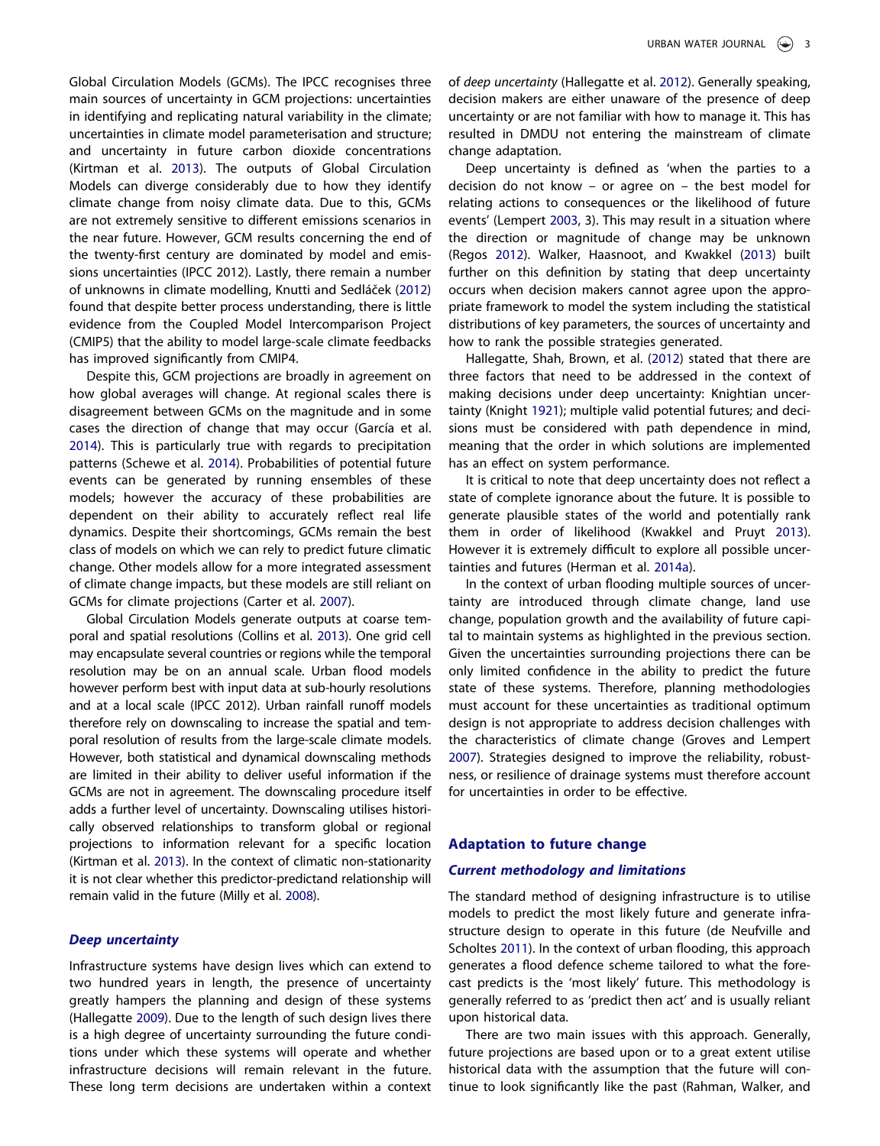Global Circulation Models (GCMs). The IPCC recognises three main sources of uncertainty in GCM projections: uncertainties in identifying and replicating natural variability in the climate; uncertainties in climate model parameterisation and structure; and uncertainty in future carbon dioxide concentrations (Kirtman et al. [2013](#page-7-14)). The outputs of Global Circulation Models can diverge considerably due to how they identify climate change from noisy climate data. Due to this, GCMs are not extremely sensitive to different emissions scenarios in the near future. However, GCM results concerning the end of the twenty-first century are dominated by model and emissions uncertainties (IPCC 2012). Lastly, there remain a number of unknowns in climate modelling, Knutti and Sedláček ([2012](#page-7-15)) found that despite better process understanding, there is little evidence from the Coupled Model Intercomparison Project (CMIP5) that the ability to model large-scale climate feedbacks has improved significantly from CMIP4.

<span id="page-2-16"></span><span id="page-2-10"></span><span id="page-2-3"></span>Despite this, GCM projections are broadly in agreement on how global averages will change. At regional scales there is disagreement between GCMs on the magnitude and in some cases the direction of change that may occur (García et al. [2014\)](#page-6-11). This is particularly true with regards to precipitation patterns (Schewe et al. [2014\)](#page-7-16). Probabilities of potential future events can be generated by running ensembles of these models; however the accuracy of these probabilities are dependent on their ability to accurately reflect real life dynamics. Despite their shortcomings, GCMs remain the best class of models on which we can rely to predict future climatic change. Other models allow for a more integrated assessment of climate change impacts, but these models are still reliant on GCMs for climate projections (Carter et al. [2007\)](#page-6-12).

<span id="page-2-1"></span><span id="page-2-0"></span>Global Circulation Models generate outputs at coarse temporal and spatial resolutions (Collins et al. [2013\)](#page-6-13). One grid cell may encapsulate several countries or regions while the temporal resolution may be on an annual scale. Urban flood models however perform best with input data at sub-hourly resolutions and at a local scale (IPCC 2012). Urban rainfall runoff models therefore rely on downscaling to increase the spatial and temporal resolution of results from the large-scale climate models. However, both statistical and dynamical downscaling methods are limited in their ability to deliver useful information if the GCMs are not in agreement. The downscaling procedure itself adds a further level of uncertainty. Downscaling utilises historically observed relationships to transform global or regional projections to information relevant for a specific location (Kirtman et al. [2013\)](#page-7-14). In the context of climatic non-stationarity it is not clear whether this predictor-predictand relationship will remain valid in the future (Milly et al. [2008\)](#page-7-17).

# <span id="page-2-13"></span><span id="page-2-8"></span>Deep uncertainty

<span id="page-2-5"></span>Infrastructure systems have design lives which can extend to two hundred years in length, the presence of uncertainty greatly hampers the planning and design of these systems (Hallegatte [2009\)](#page-6-14). Due to the length of such design lives there is a high degree of uncertainty surrounding the future conditions under which these systems will operate and whether infrastructure decisions will remain relevant in the future. These long term decisions are undertaken within a context of deep uncertainty (Hallegatte et al. [2012](#page-6-15)). Generally speaking, decision makers are either unaware of the presence of deep uncertainty or are not familiar with how to manage it. This has resulted in DMDU not entering the mainstream of climate change adaptation.

<span id="page-2-15"></span><span id="page-2-12"></span>Deep uncertainty is defined as 'when the parties to a decision do not know – or agree on – the best model for relating actions to consequences or the likelihood of future events' (Lempert [2003](#page-7-18), 3). This may result in a situation where the direction or magnitude of change may be unknown (Regos [2012\)](#page-7-19). Walker, Haasnoot, and Kwakkel [\(2013\)](#page-8-1) built further on this definition by stating that deep uncertainty occurs when decision makers cannot agree upon the appropriate framework to model the system including the statistical distributions of key parameters, the sources of uncertainty and how to rank the possible strategies generated.

<span id="page-2-9"></span><span id="page-2-6"></span>Hallegatte, Shah, Brown, et al. [\(2012\)](#page-6-15) stated that there are three factors that need to be addressed in the context of making decisions under deep uncertainty: Knightian uncertainty (Knight [1921\)](#page-7-20); multiple valid potential futures; and decisions must be considered with path dependence in mind, meaning that the order in which solutions are implemented has an effect on system performance.

<span id="page-2-11"></span>It is critical to note that deep uncertainty does not reflect a state of complete ignorance about the future. It is possible to generate plausible states of the world and potentially rank them in order of likelihood (Kwakkel and Pruyt [2013\)](#page-7-21). However it is extremely difficult to explore all possible uncertainties and futures (Herman et al. [2014a](#page-6-16)).

<span id="page-2-7"></span>In the context of urban flooding multiple sources of uncertainty are introduced through climate change, land use change, population growth and the availability of future capital to maintain systems as highlighted in the previous section. Given the uncertainties surrounding projections there can be only limited confidence in the ability to predict the future state of these systems. Therefore, planning methodologies must account for these uncertainties as traditional optimum design is not appropriate to address decision challenges with the characteristics of climate change (Groves and Lempert [2007](#page-6-17)). Strategies designed to improve the reliability, robustness, or resilience of drainage systems must therefore account for uncertainties in order to be effective.

#### <span id="page-2-4"></span>Adaptation to future change

## Current methodology and limitations

<span id="page-2-2"></span>The standard method of designing infrastructure is to utilise models to predict the most likely future and generate infrastructure design to operate in this future (de Neufville and Scholtes [2011](#page-6-18)). In the context of urban flooding, this approach generates a flood defence scheme tailored to what the forecast predicts is the 'most likely' future. This methodology is generally referred to as 'predict then act' and is usually reliant upon historical data.

<span id="page-2-14"></span>There are two main issues with this approach. Generally, future projections are based upon or to a great extent utilise historical data with the assumption that the future will continue to look significantly like the past (Rahman, Walker, and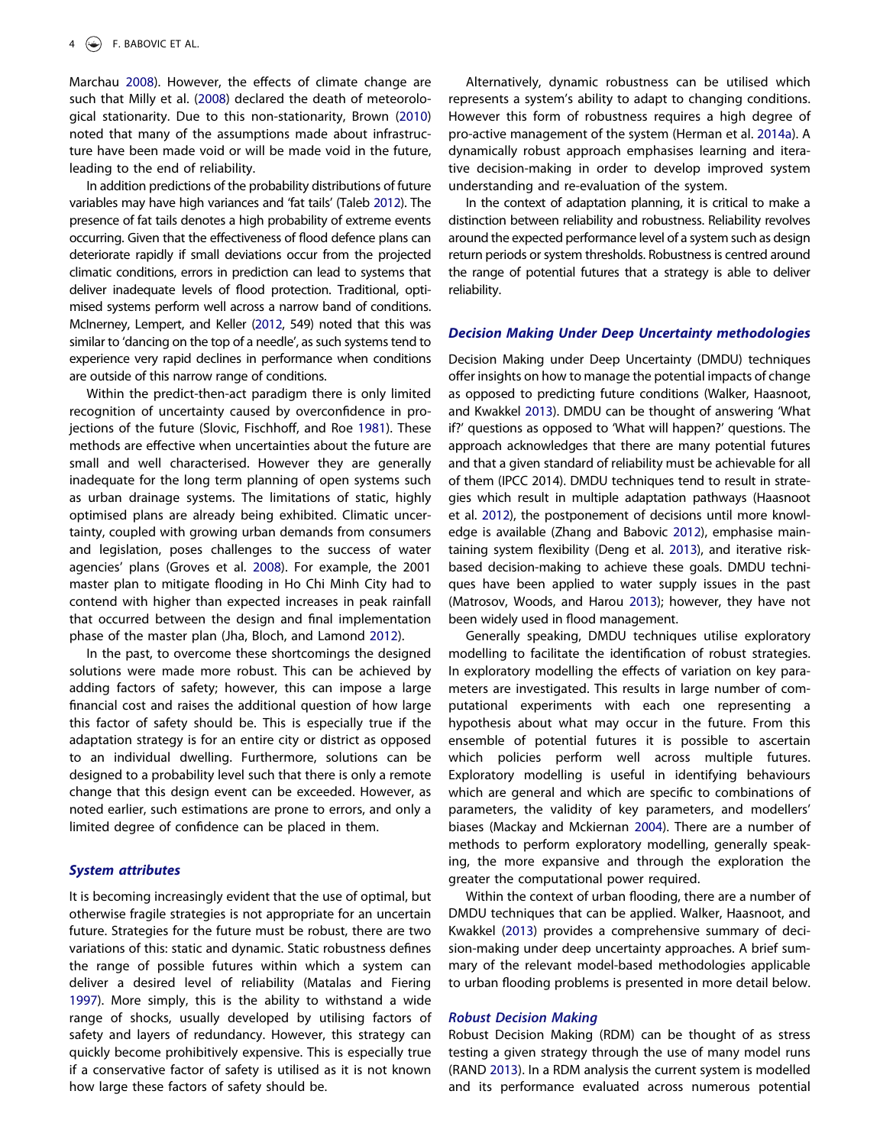<span id="page-3-0"></span>Marchau [2008\)](#page-7-22). However, the effects of climate change are such that Milly et al. [\(2008\)](#page-7-17) declared the death of meteorological stationarity. Due to this non-stationarity, Brown ([2010](#page-6-19)) noted that many of the assumptions made about infrastructure have been made void or will be made void in the future, leading to the end of reliability.

<span id="page-3-10"></span>In addition predictions of the probability distributions of future variables may have high variances and 'fat tails' (Taleb [2012](#page-7-23)). The presence of fat tails denotes a high probability of extreme events occurring. Given that the effectiveness of flood defence plans can deteriorate rapidly if small deviations occur from the projected climatic conditions, errors in prediction can lead to systems that deliver inadequate levels of flood protection. Traditional, optimised systems perform well across a narrow band of conditions. McInerney, Lempert, and Keller ([2012](#page-7-1), 549) noted that this was similar to 'dancing on the top of a needle', as such systems tend to experience very rapid declines in performance when conditions are outside of this narrow range of conditions.

<span id="page-3-9"></span>Within the predict-then-act paradigm there is only limited recognition of uncertainty caused by overconfidence in projections of the future (Slovic, Fischhoff, and Roe [1981](#page-7-24)). These methods are effective when uncertainties about the future are small and well characterised. However they are generally inadequate for the long term planning of open systems such as urban drainage systems. The limitations of static, highly optimised plans are already being exhibited. Climatic uncertainty, coupled with growing urban demands from consumers and legislation, poses challenges to the success of water agencies' plans (Groves et al. [2008\)](#page-6-20). For example, the 2001 master plan to mitigate flooding in Ho Chi Minh City had to contend with higher than expected increases in peak rainfall that occurred between the design and final implementation phase of the master plan (Jha, Bloch, and Lamond [2012\)](#page-7-25).

<span id="page-3-4"></span><span id="page-3-2"></span>In the past, to overcome these shortcomings the designed solutions were made more robust. This can be achieved by adding factors of safety; however, this can impose a large financial cost and raises the additional question of how large this factor of safety should be. This is especially true if the adaptation strategy is for an entire city or district as opposed to an individual dwelling. Furthermore, solutions can be designed to a probability level such that there is only a remote change that this design event can be exceeded. However, as noted earlier, such estimations are prone to errors, and only a limited degree of confidence can be placed in them.

#### System attributes

<span id="page-3-6"></span>It is becoming increasingly evident that the use of optimal, but otherwise fragile strategies is not appropriate for an uncertain future. Strategies for the future must be robust, there are two variations of this: static and dynamic. Static robustness defines the range of possible futures within which a system can deliver a desired level of reliability (Matalas and Fiering [1997\)](#page-7-26). More simply, this is the ability to withstand a wide range of shocks, usually developed by utilising factors of safety and layers of redundancy. However, this strategy can quickly become prohibitively expensive. This is especially true if a conservative factor of safety is utilised as it is not known how large these factors of safety should be.

Alternatively, dynamic robustness can be utilised which represents a system's ability to adapt to changing conditions. However this form of robustness requires a high degree of pro-active management of the system (Herman et al. [2014a\)](#page-6-16). A dynamically robust approach emphasises learning and iterative decision-making in order to develop improved system understanding and re-evaluation of the system.

In the context of adaptation planning, it is critical to make a distinction between reliability and robustness. Reliability revolves around the expected performance level of a system such as design return periods or system thresholds. Robustness is centred around the range of potential futures that a strategy is able to deliver reliability.

#### Decision Making Under Deep Uncertainty methodologies

Decision Making under Deep Uncertainty (DMDU) techniques offer insights on how to manage the potential impacts of change as opposed to predicting future conditions (Walker, Haasnoot, and Kwakkel [2013\)](#page-8-1). DMDU can be thought of answering 'What if?' questions as opposed to 'What will happen?' questions. The approach acknowledges that there are many potential futures and that a given standard of reliability must be achievable for all of them (IPCC 2014). DMDU techniques tend to result in strategies which result in multiple adaptation pathways (Haasnoot et al. [2012\)](#page-6-21), the postponement of decisions until more knowledge is available (Zhang and Babovic [2012](#page-8-2)), emphasise maintaining system flexibility (Deng et al. [2013\)](#page-6-22), and iterative riskbased decision-making to achieve these goals. DMDU techniques have been applied to water supply issues in the past (Matrosov, Woods, and Harou [2013](#page-7-27)); however, they have not been widely used in flood management.

<span id="page-3-7"></span><span id="page-3-3"></span><span id="page-3-1"></span>Generally speaking, DMDU techniques utilise exploratory modelling to facilitate the identification of robust strategies. In exploratory modelling the effects of variation on key parameters are investigated. This results in large number of computational experiments with each one representing a hypothesis about what may occur in the future. From this ensemble of potential futures it is possible to ascertain which policies perform well across multiple futures. Exploratory modelling is useful in identifying behaviours which are general and which are specific to combinations of parameters, the validity of key parameters, and modellers' biases (Mackay and Mckiernan [2004\)](#page-7-28). There are a number of methods to perform exploratory modelling, generally speaking, the more expansive and through the exploration the greater the computational power required.

<span id="page-3-5"></span>Within the context of urban flooding, there are a number of DMDU techniques that can be applied. Walker, Haasnoot, and Kwakkel [\(2013\)](#page-8-1) provides a comprehensive summary of decision-making under deep uncertainty approaches. A brief summary of the relevant model-based methodologies applicable to urban flooding problems is presented in more detail below.

#### Robust Decision Making

<span id="page-3-8"></span>Robust Decision Making (RDM) can be thought of as stress testing a given strategy through the use of many model runs (RAND [2013\)](#page-7-29). In a RDM analysis the current system is modelled and its performance evaluated across numerous potential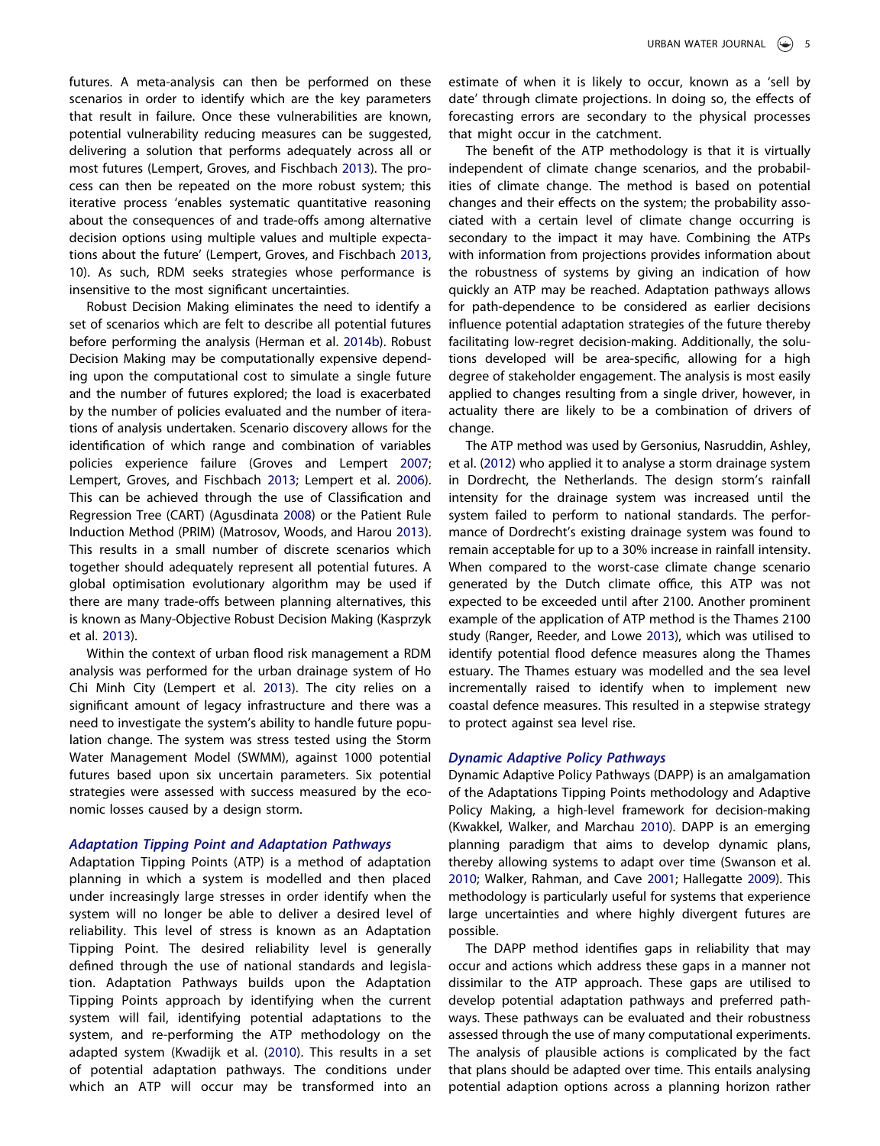futures. A meta-analysis can then be performed on these scenarios in order to identify which are the key parameters that result in failure. Once these vulnerabilities are known, potential vulnerability reducing measures can be suggested, delivering a solution that performs adequately across all or most futures (Lempert, Groves, and Fischbach [2013\)](#page-7-30). The process can then be repeated on the more robust system; this iterative process 'enables systematic quantitative reasoning about the consequences of and trade-offs among alternative decision options using multiple values and multiple expectations about the future' (Lempert, Groves, and Fischbach [2013,](#page-7-30) 10). As such, RDM seeks strategies whose performance is insensitive to the most significant uncertainties.

<span id="page-4-6"></span><span id="page-4-2"></span>Robust Decision Making eliminates the need to identify a set of scenarios which are felt to describe all potential futures before performing the analysis (Herman et al. [2014b\)](#page-6-23). Robust Decision Making may be computationally expensive depending upon the computational cost to simulate a single future and the number of futures explored; the load is exacerbated by the number of policies evaluated and the number of iterations of analysis undertaken. Scenario discovery allows for the identification of which range and combination of variables policies experience failure (Groves and Lempert [2007;](#page-6-17) Lempert, Groves, and Fischbach [2013;](#page-7-30) Lempert et al. [2006](#page-7-31)). This can be achieved through the use of Classification and Regression Tree (CART) (Agusdinata [2008\)](#page-6-24) or the Patient Rule Induction Method (PRIM) (Matrosov, Woods, and Harou [2013](#page-7-27)). This results in a small number of discrete scenarios which together should adequately represent all potential futures. A global optimisation evolutionary algorithm may be used if there are many trade-offs between planning alternatives, this is known as Many-Objective Robust Decision Making (Kasprzyk et al. [2013](#page-7-32)).

<span id="page-4-7"></span><span id="page-4-3"></span><span id="page-4-0"></span>Within the context of urban flood risk management a RDM analysis was performed for the urban drainage system of Ho Chi Minh City (Lempert et al. [2013](#page-7-33)). The city relies on a significant amount of legacy infrastructure and there was a need to investigate the system's ability to handle future population change. The system was stress tested using the Storm Water Management Model (SWMM), against 1000 potential futures based upon six uncertain parameters. Six potential strategies were assessed with success measured by the economic losses caused by a design storm.

## Adaptation Tipping Point and Adaptation Pathways

<span id="page-4-4"></span>Adaptation Tipping Points (ATP) is a method of adaptation planning in which a system is modelled and then placed under increasingly large stresses in order identify when the system will no longer be able to deliver a desired level of reliability. This level of stress is known as an Adaptation Tipping Point. The desired reliability level is generally defined through the use of national standards and legislation. Adaptation Pathways builds upon the Adaptation Tipping Points approach by identifying when the current system will fail, identifying potential adaptations to the system, and re-performing the ATP methodology on the adapted system (Kwadijk et al. ([2010\)](#page-7-34). This results in a set of potential adaptation pathways. The conditions under which an ATP will occur may be transformed into an estimate of when it is likely to occur, known as a 'sell by date' through climate projections. In doing so, the effects of forecasting errors are secondary to the physical processes that might occur in the catchment.

The benefit of the ATP methodology is that it is virtually independent of climate change scenarios, and the probabilities of climate change. The method is based on potential changes and their effects on the system; the probability associated with a certain level of climate change occurring is secondary to the impact it may have. Combining the ATPs with information from projections provides information about the robustness of systems by giving an indication of how quickly an ATP may be reached. Adaptation pathways allows for path-dependence to be considered as earlier decisions influence potential adaptation strategies of the future thereby facilitating low-regret decision-making. Additionally, the solutions developed will be area-specific, allowing for a high degree of stakeholder engagement. The analysis is most easily applied to changes resulting from a single driver, however, in actuality there are likely to be a combination of drivers of change.

<span id="page-4-1"></span>The ATP method was used by Gersonius, Nasruddin, Ashley, et al. [\(2012\)](#page-6-25) who applied it to analyse a storm drainage system in Dordrecht, the Netherlands. The design storm's rainfall intensity for the drainage system was increased until the system failed to perform to national standards. The performance of Dordrecht's existing drainage system was found to remain acceptable for up to a 30% increase in rainfall intensity. When compared to the worst-case climate change scenario generated by the Dutch climate office, this ATP was not expected to be exceeded until after 2100. Another prominent example of the application of ATP method is the Thames 2100 study (Ranger, Reeder, and Lowe [2013](#page-7-35)), which was utilised to identify potential flood defence measures along the Thames estuary. The Thames estuary was modelled and the sea level incrementally raised to identify when to implement new coastal defence measures. This resulted in a stepwise strategy to protect against sea level rise.

#### <span id="page-4-8"></span>Dynamic Adaptive Policy Pathways

<span id="page-4-9"></span><span id="page-4-5"></span>Dynamic Adaptive Policy Pathways (DAPP) is an amalgamation of the Adaptations Tipping Points methodology and Adaptive Policy Making, a high-level framework for decision-making (Kwakkel, Walker, and Marchau [2010](#page-7-36)). DAPP is an emerging planning paradigm that aims to develop dynamic plans, thereby allowing systems to adapt over time (Swanson et al. [2010](#page-7-37); Walker, Rahman, and Cave [2001;](#page-8-3) Hallegatte [2009](#page-6-14)). This methodology is particularly useful for systems that experience large uncertainties and where highly divergent futures are possible.

The DAPP method identifies gaps in reliability that may occur and actions which address these gaps in a manner not dissimilar to the ATP approach. These gaps are utilised to develop potential adaptation pathways and preferred pathways. These pathways can be evaluated and their robustness assessed through the use of many computational experiments. The analysis of plausible actions is complicated by the fact that plans should be adapted over time. This entails analysing potential adaption options across a planning horizon rather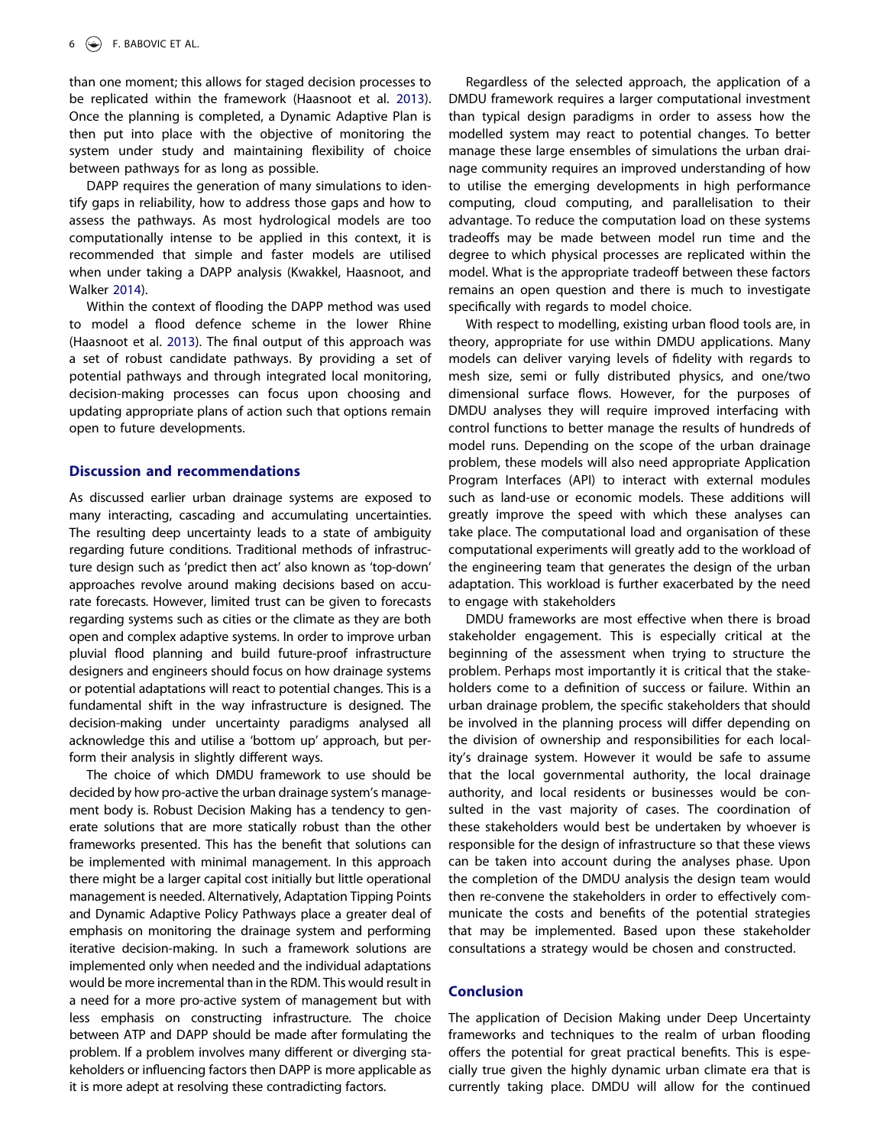than one moment; this allows for staged decision processes to be replicated within the framework (Haasnoot et al. [2013](#page-6-26)). Once the planning is completed, a Dynamic Adaptive Plan is then put into place with the objective of monitoring the system under study and maintaining flexibility of choice between pathways for as long as possible.

DAPP requires the generation of many simulations to identify gaps in reliability, how to address those gaps and how to assess the pathways. As most hydrological models are too computationally intense to be applied in this context, it is recommended that simple and faster models are utilised when under taking a DAPP analysis (Kwakkel, Haasnoot, and Walker [2014\)](#page-7-38).

<span id="page-5-1"></span><span id="page-5-0"></span>Within the context of flooding the DAPP method was used to model a flood defence scheme in the lower Rhine (Haasnoot et al. [2013](#page-6-26)). The final output of this approach was a set of robust candidate pathways. By providing a set of potential pathways and through integrated local monitoring, decision-making processes can focus upon choosing and updating appropriate plans of action such that options remain open to future developments.

## Discussion and recommendations

As discussed earlier urban drainage systems are exposed to many interacting, cascading and accumulating uncertainties. The resulting deep uncertainty leads to a state of ambiguity regarding future conditions. Traditional methods of infrastructure design such as 'predict then act' also known as 'top-down' approaches revolve around making decisions based on accurate forecasts. However, limited trust can be given to forecasts regarding systems such as cities or the climate as they are both open and complex adaptive systems. In order to improve urban pluvial flood planning and build future-proof infrastructure designers and engineers should focus on how drainage systems or potential adaptations will react to potential changes. This is a fundamental shift in the way infrastructure is designed. The decision-making under uncertainty paradigms analysed all acknowledge this and utilise a 'bottom up' approach, but perform their analysis in slightly different ways.

The choice of which DMDU framework to use should be decided by how pro-active the urban drainage system's management body is. Robust Decision Making has a tendency to generate solutions that are more statically robust than the other frameworks presented. This has the benefit that solutions can be implemented with minimal management. In this approach there might be a larger capital cost initially but little operational management is needed. Alternatively, Adaptation Tipping Points and Dynamic Adaptive Policy Pathways place a greater deal of emphasis on monitoring the drainage system and performing iterative decision-making. In such a framework solutions are implemented only when needed and the individual adaptations would be more incremental than in the RDM. This would result in a need for a more pro-active system of management but with less emphasis on constructing infrastructure. The choice between ATP and DAPP should be made after formulating the problem. If a problem involves many different or diverging stakeholders or influencing factors then DAPP is more applicable as it is more adept at resolving these contradicting factors.

Regardless of the selected approach, the application of a DMDU framework requires a larger computational investment than typical design paradigms in order to assess how the modelled system may react to potential changes. To better manage these large ensembles of simulations the urban drainage community requires an improved understanding of how to utilise the emerging developments in high performance computing, cloud computing, and parallelisation to their advantage. To reduce the computation load on these systems tradeoffs may be made between model run time and the degree to which physical processes are replicated within the model. What is the appropriate tradeoff between these factors remains an open question and there is much to investigate specifically with regards to model choice.

With respect to modelling, existing urban flood tools are, in theory, appropriate for use within DMDU applications. Many models can deliver varying levels of fidelity with regards to mesh size, semi or fully distributed physics, and one/two dimensional surface flows. However, for the purposes of DMDU analyses they will require improved interfacing with control functions to better manage the results of hundreds of model runs. Depending on the scope of the urban drainage problem, these models will also need appropriate Application Program Interfaces (API) to interact with external modules such as land-use or economic models. These additions will greatly improve the speed with which these analyses can take place. The computational load and organisation of these computational experiments will greatly add to the workload of the engineering team that generates the design of the urban adaptation. This workload is further exacerbated by the need to engage with stakeholders

DMDU frameworks are most effective when there is broad stakeholder engagement. This is especially critical at the beginning of the assessment when trying to structure the problem. Perhaps most importantly it is critical that the stakeholders come to a definition of success or failure. Within an urban drainage problem, the specific stakeholders that should be involved in the planning process will differ depending on the division of ownership and responsibilities for each locality's drainage system. However it would be safe to assume that the local governmental authority, the local drainage authority, and local residents or businesses would be consulted in the vast majority of cases. The coordination of these stakeholders would best be undertaken by whoever is responsible for the design of infrastructure so that these views can be taken into account during the analyses phase. Upon the completion of the DMDU analysis the design team would then re-convene the stakeholders in order to effectively communicate the costs and benefits of the potential strategies that may be implemented. Based upon these stakeholder consultations a strategy would be chosen and constructed.

# Conclusion

The application of Decision Making under Deep Uncertainty frameworks and techniques to the realm of urban flooding offers the potential for great practical benefits. This is especially true given the highly dynamic urban climate era that is currently taking place. DMDU will allow for the continued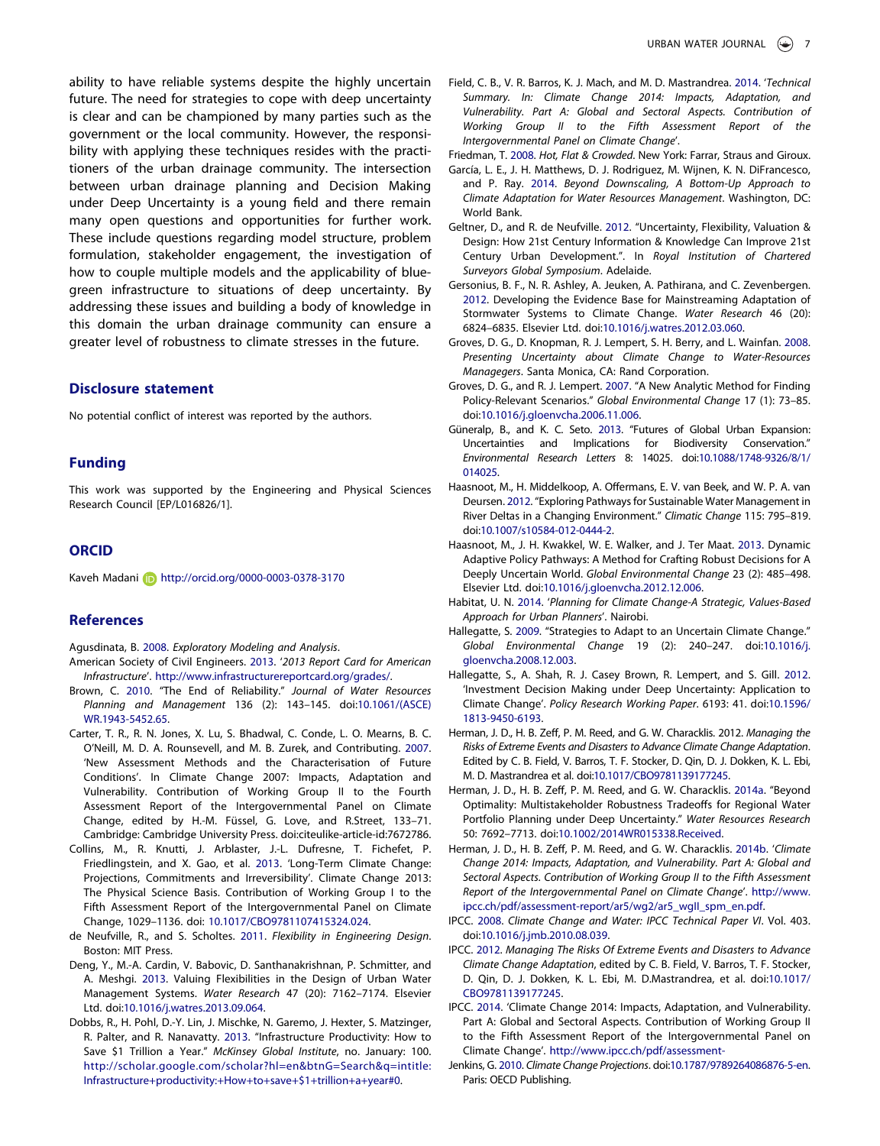ability to have reliable systems despite the highly uncertain future. The need for strategies to cope with deep uncertainty is clear and can be championed by many parties such as the government or the local community. However, the responsibility with applying these techniques resides with the practitioners of the urban drainage community. The intersection between urban drainage planning and Decision Making under Deep Uncertainty is a young field and there remain many open questions and opportunities for further work. These include questions regarding model structure, problem formulation, stakeholder engagement, the investigation of how to couple multiple models and the applicability of bluegreen infrastructure to situations of deep uncertainty. By addressing these issues and building a body of knowledge in this domain the urban drainage community can ensure a greater level of robustness to climate stresses in the future.

## Disclosure statement

No potential conflict of interest was reported by the authors.

## Funding

This work was supported by the Engineering and Physical Sciences Research Council [EP/L016826/1].

## **ORCID**

Kaveh Madani (D http://orcid.org/0000-0003-0378-3170

# **References**

<span id="page-6-24"></span>Agusdinata, B. [2008](#page-4-0). Exploratory Modeling and Analysis.

- <span id="page-6-9"></span>American Society of Civil Engineers. [2013.](#page-1-0) '2013 Report Card for American Infrastructure'. <http://www.infrastructurereportcard.org/grades/>.
- <span id="page-6-19"></span>Brown, C. [2010.](#page-3-0) "The End of Reliability." Journal of Water Resources Planning and Management 136 (2): 143–145. doi:[10.1061/\(ASCE\)](https://doi.org/10.1061/(ASCE)WR.1943-5452.65) [WR.1943-5452.65.](https://doi.org/10.1061/(ASCE)WR.1943-5452.65)
- <span id="page-6-12"></span>Carter, T. R., R. N. Jones, X. Lu, S. Bhadwal, C. Conde, L. O. Mearns, B. C. O'Neill, M. D. A. Rounsevell, and M. B. Zurek, and Contributing. [2007](#page-2-0). 'New Assessment Methods and the Characterisation of Future Conditions'. In Climate Change 2007: Impacts, Adaptation and Vulnerability. Contribution of Working Group II to the Fourth Assessment Report of the Intergovernmental Panel on Climate Change, edited by H.-M. Füssel, G. Love, and R.Street, 133–71. Cambridge: Cambridge University Press. doi:citeulike-article-id:7672786.
- <span id="page-6-13"></span>Collins, M., R. Knutti, J. Arblaster, J.-L. Dufresne, T. Fichefet, P. Friedlingstein, and X. Gao, et al. [2013.](#page-2-1) 'Long-Term Climate Change: Projections, Commitments and Irreversibility'. Climate Change 2013: The Physical Science Basis. Contribution of Working Group I to the Fifth Assessment Report of the Intergovernmental Panel on Climate Change, 1029–1136. doi: [10.1017/CBO9781107415324.024](https://doi.org/10.1017/CBO9781107415324.024).
- <span id="page-6-18"></span>de Neufville, R., and S. Scholtes. [2011](#page-2-2). Flexibility in Engineering Design. Boston: MIT Press.
- <span id="page-6-22"></span>Deng, Y., M.-A. Cardin, V. Babovic, D. Santhanakrishnan, P. Schmitter, and A. Meshgi. [2013.](#page-3-1) Valuing Flexibilities in the Design of Urban Water Management Systems. Water Research 47 (20): 7162–7174. Elsevier Ltd. doi:[10.1016/j.watres.2013.09.064](https://doi.org/10.1016/j.watres.2013.09.064).
- <span id="page-6-10"></span>Dobbs, R., H. Pohl, D.-Y. Lin, J. Mischke, N. Garemo, J. Hexter, S. Matzinger, R. Palter, and R. Nanavatty. [2013.](#page-1-1) "Infrastructure Productivity: How to Save \$1 Trillion a Year." McKinsey Global Institute, no. January: 100. [http://scholar.google.com/scholar?hl=en&btnG=Search&q=intitle:](http://scholar.google.com/scholar?hl=en%26btnG=Search%26q=intitle:Infrastructure+productivity:+How+to+save+$1+trillion+a+year#0) [Infrastructure+productivity:+How+to+save+\\$1+trillion+a+year#0](http://scholar.google.com/scholar?hl=en%26btnG=Search%26q=intitle:Infrastructure+productivity:+How+to+save+$1+trillion+a+year#0).

<span id="page-6-6"></span>Field, C. B., V. R. Barros, K. J. Mach, and M. D. Mastrandrea. [2014](#page-1-2). 'Technical Summary. In: Climate Change 2014: Impacts, Adaptation, and Vulnerability. Part A: Global and Sectoral Aspects. Contribution of Working Group II to the Fifth Assessment Report of the Intergovernmental Panel on Climate Change'.

<span id="page-6-0"></span>Friedman, T. [2008.](#page-0-1) Hot, Flat & Crowded. New York: Farrar, Straus and Giroux.

- <span id="page-6-11"></span>García, L. E., J. H. Matthews, D. J. Rodriguez, M. Wijnen, K. N. DiFrancesco, and P. Ray. [2014](#page-2-3). Beyond Downscaling, A Bottom-Up Approach to Climate Adaptation for Water Resources Management. Washington, DC: World Bank.
- <span id="page-6-1"></span>Geltner, D., and R. de Neufville. [2012.](#page-0-2) "Uncertainty, Flexibility, Valuation & Design: How 21st Century Information & Knowledge Can Improve 21st Century Urban Development.". In Royal Institution of Chartered Surveyors Global Symposium. Adelaide.
- <span id="page-6-25"></span>Gersonius, B. F., N. R. Ashley, A. Jeuken, A. Pathirana, and C. Zevenbergen. [2012](#page-4-1). Developing the Evidence Base for Mainstreaming Adaptation of Stormwater Systems to Climate Change. Water Research 46 (20): 6824–6835. Elsevier Ltd. doi:[10.1016/j.watres.2012.03.060](https://doi.org/10.1016/j.watres.2012.03.060).
- <span id="page-6-20"></span>Groves, D. G., D. Knopman, R. J. Lempert, S. H. Berry, and L. Wainfan. [2008.](#page-3-2) Presenting Uncertainty about Climate Change to Water-Resources Managegers. Santa Monica, CA: Rand Corporation.
- <span id="page-6-17"></span>Groves, D. G., and R. J. Lempert. [2007.](#page-2-4) "A New Analytic Method for Finding Policy-Relevant Scenarios." Global Environmental Change 17 (1): 73–85. doi:[10.1016/j.gloenvcha.2006.11.006.](https://doi.org/10.1016/j.gloenvcha.2006.11.006)
- <span id="page-6-5"></span>Güneralp, B., and K. C. Seto. [2013](#page-1-3). "Futures of Global Urban Expansion: Uncertainties and Implications for Biodiversity Conservation." Environmental Research Letters 8: 14025. doi:[10.1088/1748-9326/8/1/](https://doi.org/10.1088/1748-9326/8/1/014025) [014025](https://doi.org/10.1088/1748-9326/8/1/014025).
- <span id="page-6-21"></span>Haasnoot, M., H. Middelkoop, A. Offermans, E. V. van Beek, and W. P. A. van Deursen. [2012](#page-3-3)."Exploring Pathways for Sustainable Water Management in River Deltas in a Changing Environment." Climatic Change 115: 795–819. doi:[10.1007/s10584-012-0444-2.](https://doi.org/10.1007/s10584-012-0444-2)
- <span id="page-6-26"></span>Haasnoot, M., J. H. Kwakkel, W. E. Walker, and J. Ter Maat. [2013.](#page-5-0) Dynamic Adaptive Policy Pathways: A Method for Crafting Robust Decisions for A Deeply Uncertain World. Global Environmental Change 23 (2): 485–498. Elsevier Ltd. doi:[10.1016/j.gloenvcha.2012.12.006.](https://doi.org/10.1016/j.gloenvcha.2012.12.006)
- <span id="page-6-8"></span>Habitat, U. N. [2014.](#page-1-4) 'Planning for Climate Change-A Strategic, Values-Based Approach for Urban Planners'. Nairobi.
- <span id="page-6-14"></span>Hallegatte, S. [2009.](#page-2-5) "Strategies to Adapt to an Uncertain Climate Change." Global Environmental Change 19 (2): 240–247. doi:[10.1016/j.](https://doi.org/10.1016/j.gloenvcha.2008.12.003) [gloenvcha.2008.12.003.](https://doi.org/10.1016/j.gloenvcha.2008.12.003)
- <span id="page-6-15"></span>Hallegatte, S., A. Shah, R. J. Casey Brown, R. Lempert, and S. Gill. [2012.](#page-2-6) 'Investment Decision Making under Deep Uncertainty: Application to Climate Change'. Policy Research Working Paper. 6193: 41. doi:[10.1596/](https://doi.org/10.1596/1813-9450-6193) [1813-9450-6193.](https://doi.org/10.1596/1813-9450-6193)
- Herman, J. D., H. B. Zeff, P. M. Reed, and G. W. Characklis. 2012. Managing the Risks of Extreme Events and Disasters to Advance Climate Change Adaptation. Edited by C. B. Field, V. Barros, T. F. Stocker, D. Qin, D. J. Dokken, K. L. Ebi, M. D. Mastrandrea et al. doi:[10.1017/CBO9781139177245](https://doi.org/10.1017/CBO9781139177245).
- <span id="page-6-16"></span>Herman, J. D., H. B. Zeff, P. M. Reed, and G. W. Characklis. [2014a](#page-2-7). "Beyond Optimality: Multistakeholder Robustness Tradeoffs for Regional Water Portfolio Planning under Deep Uncertainty." Water Resources Research 50: 7692–7713. doi:[10.1002/2014WR015338.Received.](https://doi.org/10.1002/2014WR015338.Received)
- <span id="page-6-23"></span>Herman, J. D., H. B. Zeff, P. M. Reed, and G. W. Characklis. [2014b.](#page-4-2) 'Climate Change 2014: Impacts, Adaptation, and Vulnerability. Part A: Global and Sectoral Aspects. Contribution of Working Group II to the Fifth Assessment Report of the Intergovernmental Panel on Climate Change'. [http://www.](http://www.ipcc.ch/pdf/assessment-report/ar5/wg2/ar5_wgII_spm_en.pdf) [ipcc.ch/pdf/assessment-report/ar5/wg2/ar5\\_wgII\\_spm\\_en.pdf](http://www.ipcc.ch/pdf/assessment-report/ar5/wg2/ar5_wgII_spm_en.pdf).
- <span id="page-6-4"></span>IPCC. [2008](#page-1-5). Climate Change and Water: IPCC Technical Paper VI. Vol. 403. doi:[10.1016/j.jmb.2010.08.039.](https://doi.org/10.1016/j.jmb.2010.08.039)
- <span id="page-6-2"></span>IPCC. [2012](#page-1-6). Managing The Risks Of Extreme Events and Disasters to Advance Climate Change Adaptation, edited by C. B. Field, V. Barros, T. F. Stocker, D. Qin, D. J. Dokken, K. L. Ebi, M. D.Mastrandrea, et al. doi:[10.1017/](https://doi.org/10.1017/CBO9781139177245) [CBO9781139177245.](https://doi.org/10.1017/CBO9781139177245)
- <span id="page-6-7"></span>IPCC. [2014.](#page-1-7) 'Climate Change 2014: Impacts, Adaptation, and Vulnerability. Part A: Global and Sectoral Aspects. Contribution of Working Group II to the Fifth Assessment Report of the Intergovernmental Panel on Climate Change'. <http://www.ipcc.ch/pdf/assessment->
- <span id="page-6-3"></span>Jenkins, G. [2010](#page-1-8). Climate Change Projections. doi:[10.1787/9789264086876-5-en.](https://doi.org/10.1787/9789264086876-5-en) Paris: OECD Publishing.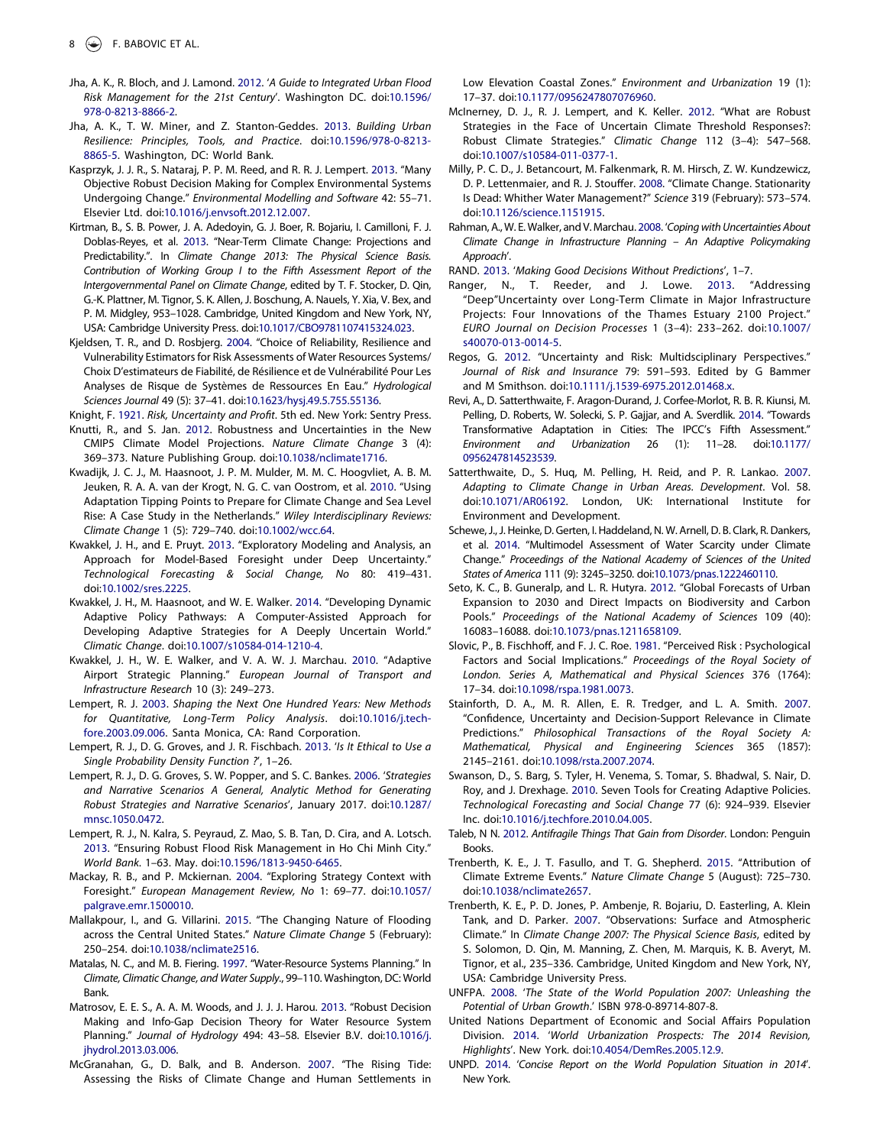- <span id="page-7-25"></span>Jha, A. K., R. Bloch, and J. Lamond. [2012](#page-3-4). 'A Guide to Integrated Urban Flood Risk Management for the 21st Century'. Washington DC. doi:[10.1596/](https://doi.org/10.1596/978-0-8213-8866-2) [978-0-8213-8866-2](https://doi.org/10.1596/978-0-8213-8866-2).
- <span id="page-7-0"></span>Jha, A. K., T. W. Miner, and Z. Stanton-Geddes. [2013](#page-0-3). Building Urban Resilience: Principles, Tools, and Practice. doi:[10.1596/978-0-8213-](https://doi.org/10.1596/978-0-8213-8865-5) [8865-5](https://doi.org/10.1596/978-0-8213-8865-5). Washington, DC: World Bank.
- <span id="page-7-32"></span>Kasprzyk, J. J. R., S. Nataraj, P. P. M. Reed, and R. R. J. Lempert. [2013.](#page-4-3) "Many Objective Robust Decision Making for Complex Environmental Systems Undergoing Change." Environmental Modelling and Software 42: 55–71. Elsevier Ltd. doi:[10.1016/j.envsoft.2012.12.007](https://doi.org/10.1016/j.envsoft.2012.12.007).
- <span id="page-7-14"></span>Kirtman, B., S. B. Power, J. A. Adedoyin, G. J. Boer, R. Bojariu, I. Camilloni, F. J. Doblas-Reyes, et al. [2013.](#page-2-8) "Near-Term Climate Change: Projections and Predictability.". In Climate Change 2013: The Physical Science Basis. Contribution of Working Group I to the Fifth Assessment Report of the Intergovernmental Panel on Climate Change, edited by T. F. Stocker, D. Qin, G.-K. Plattner, M. Tignor, S. K. Allen, J. Boschung, A. Nauels, Y. Xia, V. Bex, and P. M. Midgley, 953–1028. Cambridge, United Kingdom and New York, NY, USA: Cambridge University Press. doi:[10.1017/CBO9781107415324.023](https://doi.org/10.1017/CBO9781107415324.023).
- <span id="page-7-12"></span>Kjeldsen, T. R., and D. Rosbjerg. [2004.](#page-1-9) "Choice of Reliability, Resilience and Vulnerability Estimators for Risk Assessments of Water Resources Systems/ Choix D'estimateurs de Fiabilité, de Résilience et de Vulnérabilité Pour Les Analyses de Risque de Systèmes de Ressources En Eau." Hydrological Sciences Journal 49 (5): 37–41. doi:[10.1623/hysj.49.5.755.55136](https://doi.org/10.1623/hysj.49.5.755.55136).

<span id="page-7-20"></span>Knight, F. [1921](#page-2-9). Risk, Uncertainty and Profit. 5th ed. New York: Sentry Press.

- <span id="page-7-15"></span>Knutti, R., and S. Jan. [2012](#page-2-10). Robustness and Uncertainties in the New CMIP5 Climate Model Projections. Nature Climate Change 3 (4): 369–373. Nature Publishing Group. doi:[10.1038/nclimate1716.](https://doi.org/10.1038/nclimate1716)
- <span id="page-7-34"></span>Kwadijk, J. C. J., M. Haasnoot, J. P. M. Mulder, M. M. C. Hoogvliet, A. B. M. Jeuken, R. A. A. van der Krogt, N. G. C. van Oostrom, et al. [2010.](#page-4-4) "Using Adaptation Tipping Points to Prepare for Climate Change and Sea Level Rise: A Case Study in the Netherlands." Wiley Interdisciplinary Reviews: Climate Change 1 (5): 729–740. doi:[10.1002/wcc.64](https://doi.org/10.1002/wcc.64).
- <span id="page-7-21"></span>Kwakkel, J. H., and E. Pruyt. [2013.](#page-2-11) "Exploratory Modeling and Analysis, an Approach for Model-Based Foresight under Deep Uncertainty." Technological Forecasting & Social Change, No 80: 419–431. doi:[10.1002/sres.2225.](https://doi.org/10.1002/sres.2225)
- <span id="page-7-38"></span>Kwakkel, J. H., M. Haasnoot, and W. E. Walker. [2014](#page-5-1). "Developing Dynamic Adaptive Policy Pathways: A Computer-Assisted Approach for Developing Adaptive Strategies for A Deeply Uncertain World." Climatic Change. doi:[10.1007/s10584-014-1210-4.](https://doi.org/10.1007/s10584-014-1210-4)
- <span id="page-7-36"></span>Kwakkel, J. H., W. E. Walker, and V. A. W. J. Marchau. [2010](#page-4-5). "Adaptive Airport Strategic Planning." European Journal of Transport and Infrastructure Research 10 (3): 249–273.
- <span id="page-7-18"></span>Lempert, R. J. [2003](#page-2-12). Shaping the Next One Hundred Years: New Methods for Quantitative, Long-Term Policy Analysis. doi:[10.1016/j.tech](https://doi.org/10.1016/j.techfore.2003.09.006)[fore.2003.09.006.](https://doi.org/10.1016/j.techfore.2003.09.006) Santa Monica, CA: Rand Corporation.
- <span id="page-7-30"></span>Lempert, R. J., D. G. Groves, and J. R. Fischbach. [2013.](#page-4-6) 'Is It Ethical to Use a Single Probability Density Function ?', 1–26.
- <span id="page-7-31"></span>Lempert, R. J., D. G. Groves, S. W. Popper, and S. C. Bankes. [2006.](#page-4-6) 'Strategies and Narrative Scenarios A General, Analytic Method for Generating Robust Strategies and Narrative Scenarios', January 2017. doi:[10.1287/](https://doi.org/10.1287/mnsc.1050.0472) [mnsc.1050.0472](https://doi.org/10.1287/mnsc.1050.0472).
- <span id="page-7-33"></span>Lempert, R. J., N. Kalra, S. Peyraud, Z. Mao, S. B. Tan, D. Cira, and A. Lotsch. [2013](#page-4-7). "Ensuring Robust Flood Risk Management in Ho Chi Minh City." World Bank. 1–63. May. doi:[10.1596/1813-9450-6465](https://doi.org/10.1596/1813-9450-6465).
- <span id="page-7-28"></span>Mackay, R. B., and P. Mckiernan. [2004.](#page-3-5) "Exploring Strategy Context with Foresight." European Management Review, No 1: 69–77. doi:[10.1057/](https://doi.org/10.1057/palgrave.emr.1500010) [palgrave.emr.1500010](https://doi.org/10.1057/palgrave.emr.1500010).
- <span id="page-7-7"></span>Mallakpour, I., and G. Villarini. [2015](#page-1-10). "The Changing Nature of Flooding across the Central United States." Nature Climate Change 5 (February): 250–254. doi:[10.1038/nclimate2516.](https://doi.org/10.1038/nclimate2516)
- <span id="page-7-26"></span>Matalas, N. C., and M. B. Fiering. [1997.](#page-3-6) "Water-Resource Systems Planning." In Climate, Climatic Change, and Water Supply., 99–110. Washington, DC: World Bank.
- <span id="page-7-27"></span>Matrosov, E. E. S., A. A. M. Woods, and J. J. J. Harou. [2013](#page-3-7). "Robust Decision Making and Info-Gap Decision Theory for Water Resource System Planning." Journal of Hydrology 494: 43–58. Elsevier B.V. doi:[10.1016/j.](https://doi.org/10.1016/j.jhydrol.2013.03.006) [jhydrol.2013.03.006.](https://doi.org/10.1016/j.jhydrol.2013.03.006)
- <span id="page-7-9"></span>McGranahan, G., D. Balk, and B. Anderson. [2007.](#page-1-11) "The Rising Tide: Assessing the Risks of Climate Change and Human Settlements in

Low Elevation Coastal Zones." Environment and Urbanization 19 (1): 17–37. doi:[10.1177/0956247807076960.](https://doi.org/10.1177/0956247807076960)

- <span id="page-7-1"></span>McInerney, D. J., R. J. Lempert, and K. Keller. [2012](#page-0-4). "What are Robust Strategies in the Face of Uncertain Climate Threshold Responses?: Robust Climate Strategies." Climatic Change 112 (3–4): 547–568. doi:[10.1007/s10584-011-0377-1](https://doi.org/10.1007/s10584-011-0377-1).
- <span id="page-7-17"></span>Milly, P. C. D., J. Betancourt, M. Falkenmark, R. M. Hirsch, Z. W. Kundzewicz, D. P. Lettenmaier, and R. J. Stouffer. [2008.](#page-2-13) "Climate Change. Stationarity Is Dead: Whither Water Management?" Science 319 (February): 573–574. doi:[10.1126/science.1151915](https://doi.org/10.1126/science.1151915).
- <span id="page-7-22"></span>Rahman, A., W. E. Walker, and V. Marchau. [2008.](#page-2-14) 'Coping with Uncertainties About Climate Change in Infrastructure Planning – An Adaptive Policymaking Approach'.
- <span id="page-7-29"></span>RAND. [2013](#page-3-8). 'Making Good Decisions Without Predictions', 1–7.
- <span id="page-7-35"></span>Ranger, N., T. Reeder, and J. Lowe. [2013](#page-4-8). "Addressing "Deep"Uncertainty over Long-Term Climate in Major Infrastructure Projects: Four Innovations of the Thames Estuary 2100 Project." EURO Journal on Decision Processes 1 (3–4): 233–262. doi:[10.1007/](https://doi.org/10.1007/s40070-013-0014-5) [s40070-013-0014-5](https://doi.org/10.1007/s40070-013-0014-5).
- <span id="page-7-19"></span>Regos, G. [2012.](#page-2-15) "Uncertainty and Risk: Multidsciplinary Perspectives." Journal of Risk and Insurance 79: 591–593. Edited by G Bammer and M Smithson. doi:[10.1111/j.1539-6975.2012.01468.x](https://doi.org/10.1111/j.1539-6975.2012.01468.x).
- <span id="page-7-11"></span>Revi, A., D. Satterthwaite, F. Aragon-Durand, J. Corfee-Morlot, R. B. R. Kiunsi, M. Pelling, D. Roberts, W. Solecki, S. P. Gajjar, and A. Sverdlik. [2014](#page-1-12). "Towards Transformative Adaptation in Cities: The IPCC's Fifth Assessment." Environment and Urbanization 26 (1): 11–28. doi:[10.1177/](https://doi.org/10.1177/0956247814523539) [0956247814523539.](https://doi.org/10.1177/0956247814523539)
- <span id="page-7-5"></span>Satterthwaite, D., S. Huq, M. Pelling, H. Reid, and P. R. Lankao. [2007.](#page-1-13) Adapting to Climate Change in Urban Areas. Development. Vol. 58. doi:[10.1071/AR06192.](https://doi.org/10.1071/AR06192) London, UK: International Institute for Environment and Development.
- <span id="page-7-16"></span>Schewe, J., J. Heinke, D. Gerten, I. Haddeland, N. W. Arnell, D. B. Clark, R. Dankers, et al. [2014](#page-2-16). "Multimodel Assessment of Water Scarcity under Climate Change." Proceedings of the National Academy of Sciences of the United States of America 111 (9): 3245–3250. doi:[10.1073/pnas.1222460110](https://doi.org/10.1073/pnas.1222460110).
- <span id="page-7-8"></span>Seto, K. C., B. Guneralp, and L. R. Hutyra. [2012.](#page-1-3) "Global Forecasts of Urban Expansion to 2030 and Direct Impacts on Biodiversity and Carbon Pools." Proceedings of the National Academy of Sciences 109 (40): 16083–16088. doi:[10.1073/pnas.1211658109](https://doi.org/10.1073/pnas.1211658109).
- <span id="page-7-24"></span>Slovic, P., B. Fischhoff, and F. J. C. Roe. [1981.](#page-3-9) "Perceived Risk : Psychological Factors and Social Implications." Proceedings of the Royal Society of London. Series A, Mathematical and Physical Sciences 376 (1764): 17–34. doi:[10.1098/rspa.1981.0073](https://doi.org/10.1098/rspa.1981.0073).
- <span id="page-7-13"></span>Stainforth, D. A., M. R. Allen, E. R. Tredger, and L. A. Smith. [2007.](#page-1-9) "Confidence, Uncertainty and Decision-Support Relevance in Climate Predictions." Philosophical Transactions of the Royal Society A: Mathematical, Physical and Engineering Sciences 365 (1857): 2145–2161. doi:[10.1098/rsta.2007.2074.](https://doi.org/10.1098/rsta.2007.2074)
- <span id="page-7-37"></span>Swanson, D., S. Barg, S. Tyler, H. Venema, S. Tomar, S. Bhadwal, S. Nair, D. Roy, and J. Drexhage. [2010](#page-4-9). Seven Tools for Creating Adaptive Policies. Technological Forecasting and Social Change 77 (6): 924–939. Elsevier Inc. doi:[10.1016/j.techfore.2010.04.005.](https://doi.org/10.1016/j.techfore.2010.04.005)
- <span id="page-7-23"></span>Taleb, N N. [2012](#page-3-10). Antifragile Things That Gain from Disorder. London: Penguin Books.
- <span id="page-7-10"></span>Trenberth, K. E., J. T. Fasullo, and T. G. Shepherd. [2015](#page-1-14). "Attribution of Climate Extreme Events." Nature Climate Change 5 (August): 725–730. doi:[10.1038/nclimate2657.](https://doi.org/10.1038/nclimate2657)
- <span id="page-7-6"></span>Trenberth, K. E., P. D. Jones, P. Ambenje, R. Bojariu, D. Easterling, A. Klein Tank, and D. Parker. [2007](#page-1-15). "Observations: Surface and Atmospheric Climate." In Climate Change 2007: The Physical Science Basis, edited by S. Solomon, D. Qin, M. Manning, Z. Chen, M. Marquis, K. B. Averyt, M. Tignor, et al., 235–336. Cambridge, United Kingdom and New York, NY, USA: Cambridge University Press.
- <span id="page-7-2"></span>UNFPA. [2008](#page-0-5). 'The State of the World Population 2007: Unleashing the Potential of Urban Growth.' ISBN 978-0-89714-807-8.
- <span id="page-7-4"></span>United Nations Department of Economic and Social Affairs Population Division. [2014.](#page-0-6) 'World Urbanization Prospects: The 2014 Revision, Highlights'. New York. doi:[10.4054/DemRes.2005.12.9](https://doi.org/10.4054/DemRes.2005.12.9).
- <span id="page-7-3"></span>UNPD. [2014.](#page-0-7) 'Concise Report on the World Population Situation in 2014'. New York.